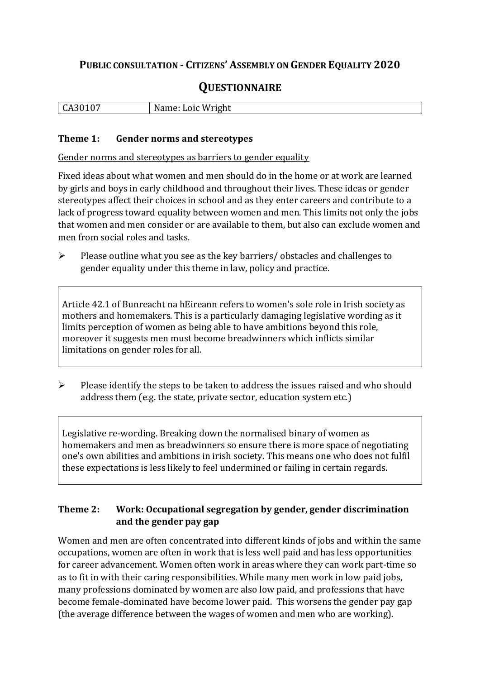## **PUBLIC CONSULTATION - CITIZENS' ASSEMBLY ON GENDER EQUALITY 2020**

# **QUESTIONNAIRE**

| ∩−<br>,,,,<br>ו ר<br>. .<br><b>UILL</b> | Loic Wright<br>N |
|-----------------------------------------|------------------|
|                                         |                  |

#### **Theme 1: Gender norms and stereotypes**

Gender norms and stereotypes as barriers to gender equality

Fixed ideas about what women and men should do in the home or at work are learned by girls and boys in early childhood and throughout their lives. These ideas or gender stereotypes affect their choices in school and as they enter careers and contribute to a lack of progress toward equality between women and men. This limits not only the jobs that women and men consider or are available to them, but also can exclude women and men from social roles and tasks.

➢ Please outline what you see as the key barriers/ obstacles and challenges to gender equality under this theme in law, policy and practice.

Article 42.1 of Bunreacht na hEireann refers to women's sole role in Irish society as mothers and homemakers. This is a particularly damaging legislative wording as it limits perception of women as being able to have ambitions beyond this role, moreover it suggests men must become breadwinners which inflicts similar limitations on gender roles for all.

➢ Please identify the steps to be taken to address the issues raised and who should address them (e.g. the state, private sector, education system etc.)

Legislative re-wording. Breaking down the normalised binary of women as homemakers and men as breadwinners so ensure there is more space of negotiating one's own abilities and ambitions in irish society. This means one who does not fulfil these expectations is less likely to feel undermined or failing in certain regards.

#### **Theme 2: Work: Occupational segregation by gender, gender discrimination and the gender pay gap**

Women and men are often concentrated into different kinds of jobs and within the same occupations, women are often in work that is less well paid and has less opportunities for career advancement. Women often work in areas where they can work part-time so as to fit in with their caring responsibilities. While many men work in low paid jobs, many professions dominated by women are also low paid, and professions that have become female-dominated have become lower paid. This worsens the gender pay gap (the average difference between the wages of women and men who are working).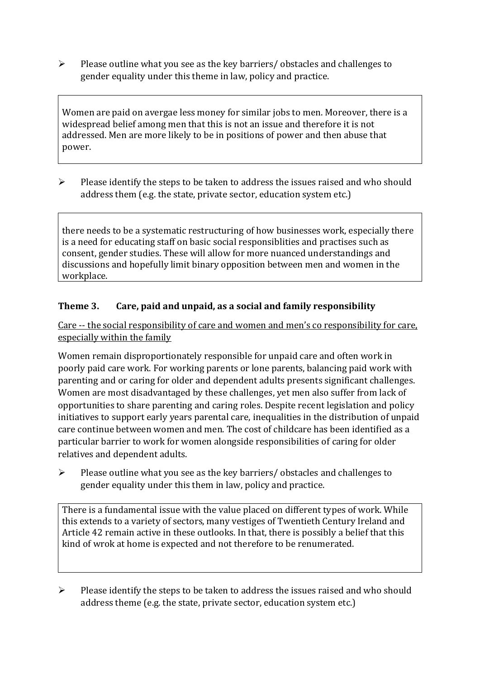➢ Please outline what you see as the key barriers/ obstacles and challenges to gender equality under this theme in law, policy and practice.

Women are paid on avergae less money for similar jobs to men. Moreover, there is a widespread belief among men that this is not an issue and therefore it is not addressed. Men are more likely to be in positions of power and then abuse that power.

 $\triangleright$  Please identify the steps to be taken to address the issues raised and who should address them (e.g. the state, private sector, education system etc.)

there needs to be a systematic restructuring of how businesses work, especially there is a need for educating staff on basic social responsiblities and practises such as consent, gender studies. These will allow for more nuanced understandings and discussions and hopefully limit binary opposition between men and women in the workplace.

#### **Theme 3. Care, paid and unpaid, as a social and family responsibility**

Care -- the social responsibility of care and women and men's co responsibility for care, especially within the family

Women remain disproportionately responsible for unpaid care and often work in poorly paid care work. For working parents or [lone parents,](https://aran.library.nuigalway.ie/bitstream/handle/10379/6044/Millar_and_Crosse_Activation_Report.pdf?sequence=1&isAllowed=y) balancing paid work with parenting and or caring for older and dependent adults presents significant challenges. Women are [most disadvantaged by these challenges,](https://eige.europa.eu/gender-equality-index/game/IE/W) yet men also suffer from lack of opportunities to share parenting and caring roles. Despite recent legislation and policy initiatives to support early years parental care, [inequalities in the distribution of unpaid](https://www.ihrec.ie/app/uploads/2019/07/Caring-and-Unpaid-Work-in-Ireland_Final.pdf)  [care](https://www.ihrec.ie/app/uploads/2019/07/Caring-and-Unpaid-Work-in-Ireland_Final.pdf) continue between women and men. The cost of childcare has been identified as a particular barrier to work for women alongside responsibilities of caring for older relatives and dependent adults.

➢ Please outline what you see as the key barriers/ obstacles and challenges to gender equality under this them in law, policy and practice.

There is a fundamental issue with the value placed on different types of work. While this extends to a variety of sectors, many vestiges of Twentieth Century Ireland and Article 42 remain active in these outlooks. In that, there is possibly a belief that this kind of wrok at home is expected and not therefore to be renumerated.

 $\triangleright$  Please identify the steps to be taken to address the issues raised and who should address theme (e.g. the state, private sector, education system etc.)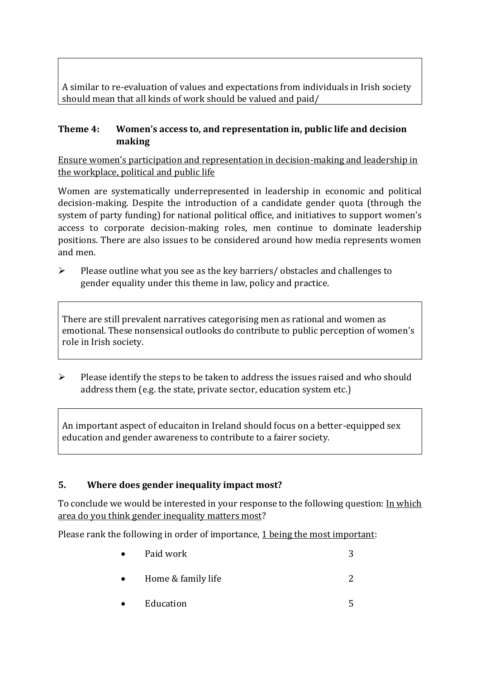A similar to re-evaluation of values and expectations from individuals in Irish society should mean that all kinds of work should be valued and paid/

#### **Theme 4: Women's access to, and representation in, public life and decision making**

Ensure women's participation and representation in decision-making and leadership in the workplace, political and public life

Women are systematically underrepresented in leadership in [economic](https://eige.europa.eu/gender-equality-index/2019/compare-countries/power/2/bar) and [political](https://eige.europa.eu/gender-equality-index/2019/compare-countries/power/1/bar)  [decision-](https://eige.europa.eu/gender-equality-index/2019/compare-countries/power/1/bar)making. Despite the introduction of a candidate gender quota (through the system of party funding) for national political office, and [initiatives](https://betterbalance.ie/) to support women's access to corporate decision-making roles, men continue to dominate leadership positions. There are also issues to be considered around how media represents women and men.

➢ Please outline what you see as the key barriers/ obstacles and challenges to gender equality under this theme in law, policy and practice.

There are still prevalent narratives categorising men as rational and women as emotional. These nonsensical outlooks do contribute to public perception of women's role in Irish society.

 $\triangleright$  Please identify the steps to be taken to address the issues raised and who should address them (e.g. the state, private sector, education system etc.)

An important aspect of educaiton in Ireland should focus on a better-equipped sex education and gender awareness to contribute to a fairer society.

### **5. Where does gender inequality impact most?**

To conclude we would be interested in your response to the following question: In which area do you think gender inequality matters most?

Please rank the following in order of importance, 1 being the most important:

- Paid work  $\sim$  3 • Home  $\&$  family life  $\qquad \qquad \qquad$  2
	- Education 5